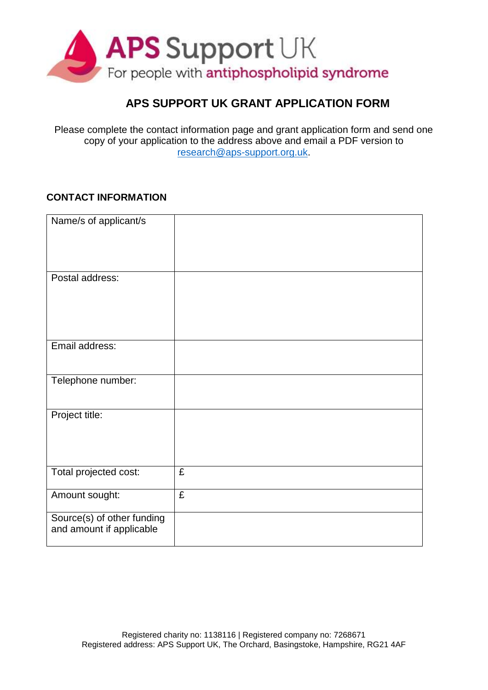

## **APS SUPPORT UK GRANT APPLICATION FORM**

Please complete the contact information page and grant application form and send one copy of your application to the address above and email a PDF version to [research@aps-support.org.uk.](mailto:research@aps-support.org.uk)

## **CONTACT INFORMATION**

| Name/s of applicant/s                                  |   |
|--------------------------------------------------------|---|
| Postal address:                                        |   |
| Email address:                                         |   |
| Telephone number:                                      |   |
| Project title:                                         |   |
| Total projected cost:                                  | £ |
| Amount sought:                                         | £ |
| Source(s) of other funding<br>and amount if applicable |   |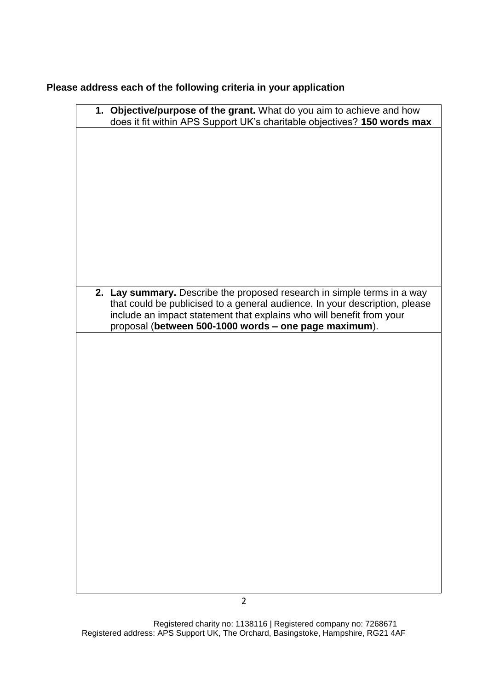## **Please address each of the following criteria in your application**

| 1. Objective/purpose of the grant. What do you aim to achieve and how       |
|-----------------------------------------------------------------------------|
| does it fit within APS Support UK's charitable objectives? 150 words max    |
|                                                                             |
|                                                                             |
|                                                                             |
|                                                                             |
|                                                                             |
|                                                                             |
|                                                                             |
|                                                                             |
|                                                                             |
|                                                                             |
|                                                                             |
|                                                                             |
|                                                                             |
|                                                                             |
|                                                                             |
|                                                                             |
|                                                                             |
|                                                                             |
|                                                                             |
| 2. Lay summary. Describe the proposed research in simple terms in a way     |
| that could be publicised to a general audience. In your description, please |
| include an impact statement that explains who will benefit from your        |
| proposal (between 500-1000 words - one page maximum).                       |
|                                                                             |
|                                                                             |
|                                                                             |
|                                                                             |
|                                                                             |
|                                                                             |
|                                                                             |
|                                                                             |
|                                                                             |
|                                                                             |
|                                                                             |
|                                                                             |
|                                                                             |
|                                                                             |
|                                                                             |
|                                                                             |
|                                                                             |
|                                                                             |
|                                                                             |
|                                                                             |
|                                                                             |
|                                                                             |
|                                                                             |
|                                                                             |
|                                                                             |
|                                                                             |
|                                                                             |
|                                                                             |
|                                                                             |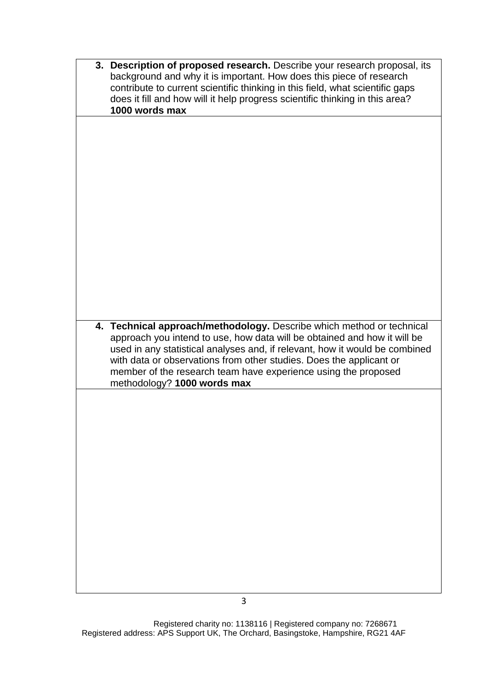| 3. Description of proposed research. Describe your research proposal, its<br>background and why it is important. How does this piece of research<br>contribute to current scientific thinking in this field, what scientific gaps<br>does it fill and how will it help progress scientific thinking in this area?<br>1000 words max                                       |
|---------------------------------------------------------------------------------------------------------------------------------------------------------------------------------------------------------------------------------------------------------------------------------------------------------------------------------------------------------------------------|
| 4. Technical approach/methodology. Describe which method or technical<br>approach you intend to use, how data will be obtained and how it will be<br>used in any statistical analyses and, if relevant, how it would be combined<br>with data or observations from other studies. Does the applicant or<br>member of the research team have experience using the proposed |
| methodology? 1000 words max                                                                                                                                                                                                                                                                                                                                               |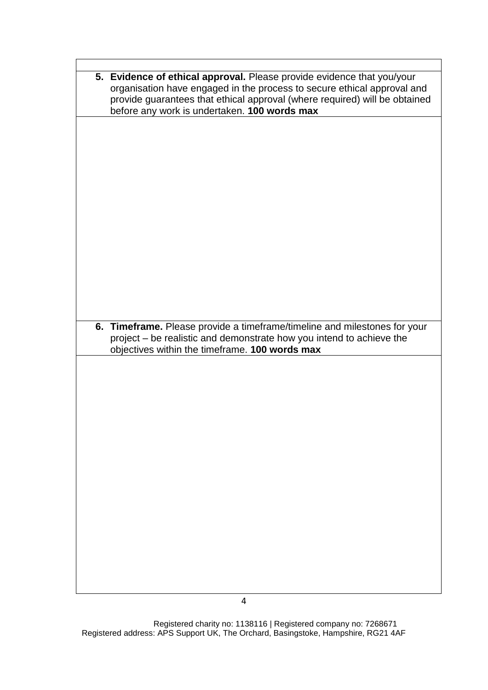| 5. Evidence of ethical approval. Please provide evidence that you/your     |
|----------------------------------------------------------------------------|
|                                                                            |
| organisation have engaged in the process to secure ethical approval and    |
| provide guarantees that ethical approval (where required) will be obtained |
|                                                                            |
| before any work is undertaken. 100 words max                               |
|                                                                            |
|                                                                            |
|                                                                            |
|                                                                            |
|                                                                            |
|                                                                            |
|                                                                            |
|                                                                            |
|                                                                            |
|                                                                            |
|                                                                            |
|                                                                            |
|                                                                            |
|                                                                            |
|                                                                            |
|                                                                            |
|                                                                            |
|                                                                            |
|                                                                            |
|                                                                            |
|                                                                            |
|                                                                            |
|                                                                            |
|                                                                            |
|                                                                            |
| 6. Timeframe. Please provide a timeframe/timeline and milestones for your  |
|                                                                            |
|                                                                            |
| project - be realistic and demonstrate how you intend to achieve the       |
|                                                                            |
| objectives within the timeframe. 100 words max                             |
|                                                                            |
|                                                                            |
|                                                                            |
|                                                                            |
|                                                                            |
|                                                                            |
|                                                                            |
|                                                                            |
|                                                                            |
|                                                                            |
|                                                                            |
|                                                                            |
|                                                                            |
|                                                                            |
|                                                                            |
|                                                                            |
|                                                                            |
|                                                                            |
|                                                                            |
|                                                                            |
|                                                                            |
|                                                                            |
|                                                                            |
|                                                                            |
|                                                                            |
|                                                                            |
|                                                                            |
|                                                                            |

 $\overline{\phantom{a}}$ 

 $\mathsf{r}$